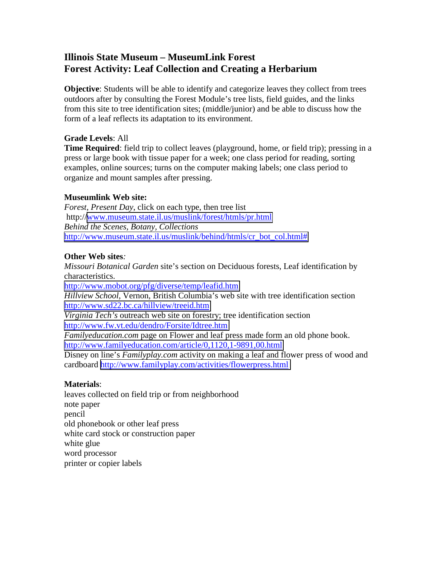# **Illinois State Museum – MuseumLink Forest Forest Activity: Leaf Collection and Creating a Herbarium**

**Objective**: Students will be able to identify and categorize leaves they collect from trees outdoors after by consulting the Forest Module's tree lists, field guides, and the links from this site to tree identification sites; (middle/junior) and be able to discuss how the form of a leaf reflects its adaptation to its environment.

## **Grade Levels**: All

**Time Required**: field trip to collect leaves (playground, home, or field trip); pressing in a press or large book with tissue paper for a week; one class period for reading, sorting examples, online sources; turns on the computer making labels; one class period to organize and mount samples after pressing.

### **Museumlink Web site:**

*Forest, Present Day*, click on each type, then tree list http://[www.museum.state.il.us/muslink/forest/htmls/pr.html](http://www.museum.state.il.us/muslink/forest/htmls/pr.html)  *Behind the Scenes, Botany, Collections*  [http://www.museum.state.il.us/muslink/behind/htmls/cr\\_bot\\_col.html#](http://www.museum.state.il.us/muslink/behind/htmls/cr_bot_col.html) 

### **Other Web sites***:*

*Missouri Botanical Garden* site's section on Deciduous forests, Leaf identification by characteristics.

<http://www.mobot.org/pfg/diverse/temp/leafid.htm> *Hillview School,* Vernon, British Columbia's web site with tree identification section <http://www.sd22.bc.ca/hillview/treeid.htm>

*Virginia Tech's* outreach web site on forestry; tree identification section <http://www.fw.vt.edu/dendro/Forsite/Idtree.htm>

*Familyeducation.com* page on Flower and leaf press made form an old phone book. <http://www.familyeducation.com/article/0,1120,1-9891,00.html>

Disney on line's *Familyplay.com* activity on making a leaf and flower press of wood and cardboard <http://www.familyplay.com/activities/flowerpress.html>

#### **Materials**:

leaves collected on field trip or from neighborhood note paper pencil old phonebook or other leaf press white card stock or construction paper white glue word processor printer or copier labels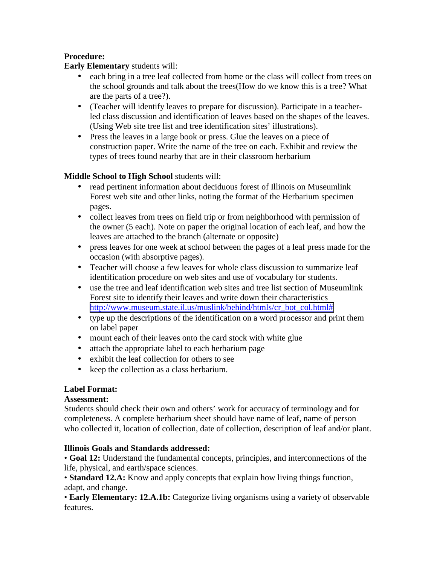# **Procedure:**

## **Early Elementary** students will:

- each bring in a tree leaf collected from home or the class will collect from trees on the school grounds and talk about the trees(How do we know this is a tree? What are the parts of a tree?).
- (Teacher will identify leaves to prepare for discussion). Participate in a teacherled class discussion and identification of leaves based on the shapes of the leaves. (Using Web site tree list and tree identification sites' illustrations).
- Press the leaves in a large book or press. Glue the leaves on a piece of construction paper. Write the name of the tree on each. Exhibit and review the types of trees found nearby that are in their classroom herbarium

# **Middle School to High School** students will:

- read pertinent information about deciduous forest of Illinois on Museumlink Forest web site and other links, noting the format of the Herbarium specimen pages.
- collect leaves from trees on field trip or from neighborhood with permission of the owner (5 each). Note on paper the original location of each leaf, and how the leaves are attached to the branch (alternate or opposite)
- press leaves for one week at school between the pages of a leaf press made for the occasion (with absorptive pages).
- Teacher will choose a few leaves for whole class discussion to summarize leaf identification procedure on web sites and use of vocabulary for students.
- use the tree and leaf identification web sites and tree list section of Museumlink Forest site to identify their leaves and write down their characteristics [http://www.museum.state.il.us/muslink/behind/htmls/cr\\_bot\\_col.html#](http://www.museum.state.il.us/muslink/behind/htmls/cr_bot_col.html)
- type up the descriptions of the identification on a word processor and print them on label paper
- mount each of their leaves onto the card stock with white glue
- attach the appropriate label to each herbarium page
- exhibit the leaf collection for others to see
- keep the collection as a class herbarium.

# **Label Format:**

# **Assessment:**

Students should check their own and others' work for accuracy of terminology and for completeness. A complete herbarium sheet should have name of leaf, name of person who collected it, location of collection, date of collection, description of leaf and/or plant.

# **Illinois Goals and Standards addressed:**

• **Goal 12:** Understand the fundamental concepts, principles, and interconnections of the life, physical, and earth/space sciences.

• **Standard 12.A:** Know and apply concepts that explain how living things function, adapt, and change.

• **Early Elementary: 12.A.1b:** Categorize living organisms using a variety of observable features.